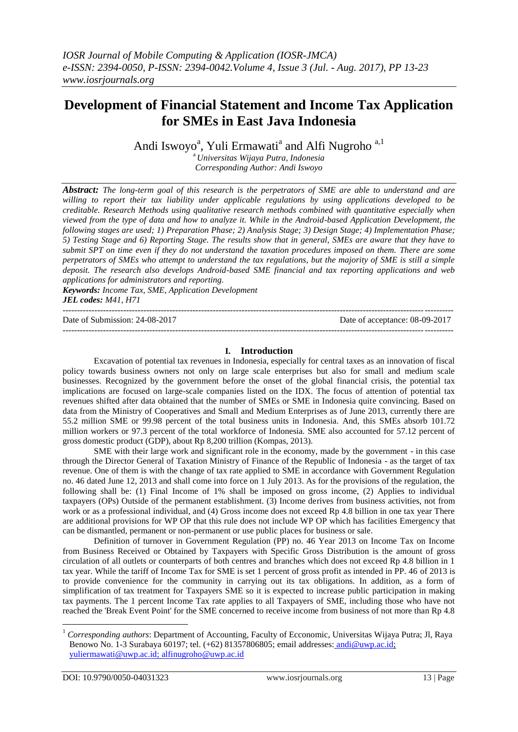# **Development of Financial Statement and Income Tax Application for SMEs in East Java Indonesia**

Andi Iswoyo<sup>a</sup>, Yuli Ermawati<sup>a</sup> and Alfi Nugroho<sup>a,1</sup>

<sup>a</sup>*Universitas Wijaya Putra, Indonesia Corresponding Author: Andi Iswoyo*

*Abstract: The long-term goal of this research is the perpetrators of SME are able to understand and are willing to report their tax liability under applicable regulations by using applications developed to be creditable. Research Methods using qualitative research methods combined with quantitative especially when viewed from the type of data and how to analyze it. While in the Android-based Application Development, the following stages are used; 1) Preparation Phase; 2) Analysis Stage; 3) Design Stage; 4) Implementation Phase; 5) Testing Stage and 6) Reporting Stage. The results show that in general, SMEs are aware that they have to submit SPT on time even if they do not understand the taxation procedures imposed on them. There are some perpetrators of SMEs who attempt to understand the tax regulations, but the majority of SME is still a simple deposit. The research also develops Android-based SME financial and tax reporting applications and web applications for administrators and reporting.*

*Keywords: Income Tax, SME, Application Development JEL codes: M41, H71* ---------------------------------------------------------------------------------------------------------------------------------------

Date of Submission: 24-08-2017 Date of acceptance: 08-09-2017

# **I. Introduction**

---------------------------------------------------------------------------------------------------------------------------------------

Excavation of potential tax revenues in Indonesia, especially for central taxes as an innovation of fiscal policy towards business owners not only on large scale enterprises but also for small and medium scale businesses. Recognized by the government before the onset of the global financial crisis, the potential tax implications are focused on large-scale companies listed on the IDX. The focus of attention of potential tax revenues shifted after data obtained that the number of SMEs or SME in Indonesia quite convincing. Based on data from the Ministry of Cooperatives and Small and Medium Enterprises as of June 2013, currently there are 55.2 million SME or 99.98 percent of the total business units in Indonesia. And, this SMEs absorb 101.72 million workers or 97.3 percent of the total workforce of Indonesia. SME also accounted for 57.12 percent of gross domestic product (GDP), about Rp 8,200 trillion (Kompas, 2013).

SME with their large work and significant role in the economy, made by the government - in this case through the Director General of Taxation Ministry of Finance of the Republic of Indonesia - as the target of tax revenue. One of them is with the change of tax rate applied to SME in accordance with Government Regulation no. 46 dated June 12, 2013 and shall come into force on 1 July 2013. As for the provisions of the regulation, the following shall be: (1) Final Income of 1% shall be imposed on gross income, (2) Applies to individual taxpayers (OPs) Outside of the permanent establishment. (3) Income derives from business activities, not from work or as a professional individual, and (4) Gross income does not exceed Rp 4.8 billion in one tax year There are additional provisions for WP OP that this rule does not include WP OP which has facilities Emergency that can be dismantled, permanent or non-permanent or use public places for business or sale.

Definition of turnover in Government Regulation (PP) no. 46 Year 2013 on Income Tax on Income from Business Received or Obtained by Taxpayers with Specific Gross Distribution is the amount of gross circulation of all outlets or counterparts of both centres and branches which does not exceed Rp 4.8 billion in 1 tax year. While the tariff of Income Tax for SME is set 1 percent of gross profit as intended in PP. 46 of 2013 is to provide convenience for the community in carrying out its tax obligations. In addition, as a form of simplification of tax treatment for Taxpayers SME so it is expected to increase public participation in making tax payments. The 1 percent Income Tax rate applies to all Taxpayers of SME, including those who have not reached the 'Break Event Point' for the SME concerned to receive income from business of not more than Rp 4.8

1

<sup>&</sup>lt;sup>1</sup> *Corresponding authors*: Department of Accounting, Faculty of Ecconomic, Universitas Wijaya Putra; Jl, Raya Benowo No. 1-3 Surabaya 60197; tel. (+62) 81357806805; email addresses: [andi@uwp.ac.id;](mailto:andi@uwp.ac.id) [yuliermawati@uwp.ac.id;](mailto:yuliermawati@uwp.ac.id;) [alfinugroho@uwp.ac.id](mailto:alfinugroho@uwp.ac.id)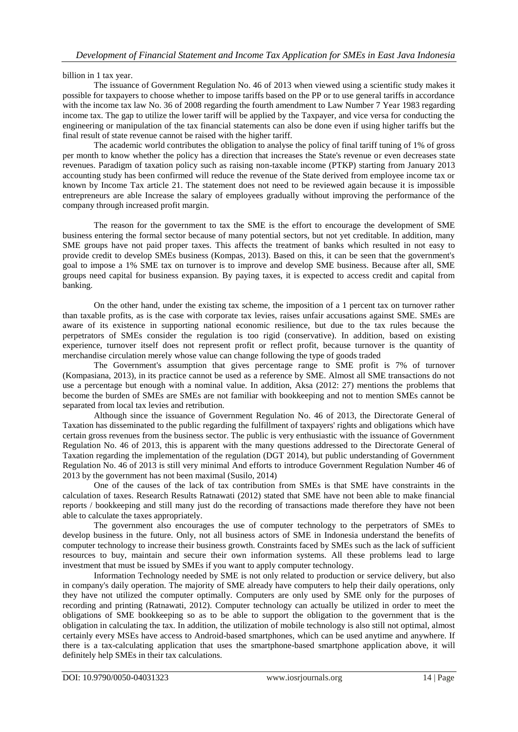billion in 1 tax year.

The issuance of Government Regulation No. 46 of 2013 when viewed using a scientific study makes it possible for taxpayers to choose whether to impose tariffs based on the PP or to use general tariffs in accordance with the income tax law No. 36 of 2008 regarding the fourth amendment to Law Number 7 Year 1983 regarding income tax. The gap to utilize the lower tariff will be applied by the Taxpayer, and vice versa for conducting the engineering or manipulation of the tax financial statements can also be done even if using higher tariffs but the final result of state revenue cannot be raised with the higher tariff.

The academic world contributes the obligation to analyse the policy of final tariff tuning of 1% of gross per month to know whether the policy has a direction that increases the State's revenue or even decreases state revenues. Paradigm of taxation policy such as raising non-taxable income (PTKP) starting from January 2013 accounting study has been confirmed will reduce the revenue of the State derived from employee income tax or known by Income Tax article 21. The statement does not need to be reviewed again because it is impossible entrepreneurs are able Increase the salary of employees gradually without improving the performance of the company through increased profit margin.

The reason for the government to tax the SME is the effort to encourage the development of SME business entering the formal sector because of many potential sectors, but not yet creditable. In addition, many SME groups have not paid proper taxes. This affects the treatment of banks which resulted in not easy to provide credit to develop SMEs business (Kompas, 2013). Based on this, it can be seen that the government's goal to impose a 1% SME tax on turnover is to improve and develop SME business. Because after all, SME groups need capital for business expansion. By paying taxes, it is expected to access credit and capital from banking.

On the other hand, under the existing tax scheme, the imposition of a 1 percent tax on turnover rather than taxable profits, as is the case with corporate tax levies, raises unfair accusations against SME. SMEs are aware of its existence in supporting national economic resilience, but due to the tax rules because the perpetrators of SMEs consider the regulation is too rigid (conservative). In addition, based on existing experience, turnover itself does not represent profit or reflect profit, because turnover is the quantity of merchandise circulation merely whose value can change following the type of goods traded

The Government's assumption that gives percentage range to SME profit is 7% of turnover (Kompasiana, 2013), in its practice cannot be used as a reference by SME. Almost all SME transactions do not use a percentage but enough with a nominal value. In addition, Aksa (2012: 27) mentions the problems that become the burden of SMEs are SMEs are not familiar with bookkeeping and not to mention SMEs cannot be separated from local tax levies and retribution.

Although since the issuance of Government Regulation No. 46 of 2013, the Directorate General of Taxation has disseminated to the public regarding the fulfillment of taxpayers' rights and obligations which have certain gross revenues from the business sector. The public is very enthusiastic with the issuance of Government Regulation No. 46 of 2013, this is apparent with the many questions addressed to the Directorate General of Taxation regarding the implementation of the regulation (DGT 2014), but public understanding of Government Regulation No. 46 of 2013 is still very minimal And efforts to introduce Government Regulation Number 46 of 2013 by the government has not been maximal (Susilo, 2014)

One of the causes of the lack of tax contribution from SMEs is that SME have constraints in the calculation of taxes. Research Results Ratnawati (2012) stated that SME have not been able to make financial reports / bookkeeping and still many just do the recording of transactions made therefore they have not been able to calculate the taxes appropriately.

The government also encourages the use of computer technology to the perpetrators of SMEs to develop business in the future. Only, not all business actors of SME in Indonesia understand the benefits of computer technology to increase their business growth. Constraints faced by SMEs such as the lack of sufficient resources to buy, maintain and secure their own information systems. All these problems lead to large investment that must be issued by SMEs if you want to apply computer technology.

Information Technology needed by SME is not only related to production or service delivery, but also in company's daily operation. The majority of SME already have computers to help their daily operations, only they have not utilized the computer optimally. Computers are only used by SME only for the purposes of recording and printing (Ratnawati, 2012). Computer technology can actually be utilized in order to meet the obligations of SME bookkeeping so as to be able to support the obligation to the government that is the obligation in calculating the tax. In addition, the utilization of mobile technology is also still not optimal, almost certainly every MSEs have access to Android-based smartphones, which can be used anytime and anywhere. If there is a tax-calculating application that uses the smartphone-based smartphone application above, it will definitely help SMEs in their tax calculations.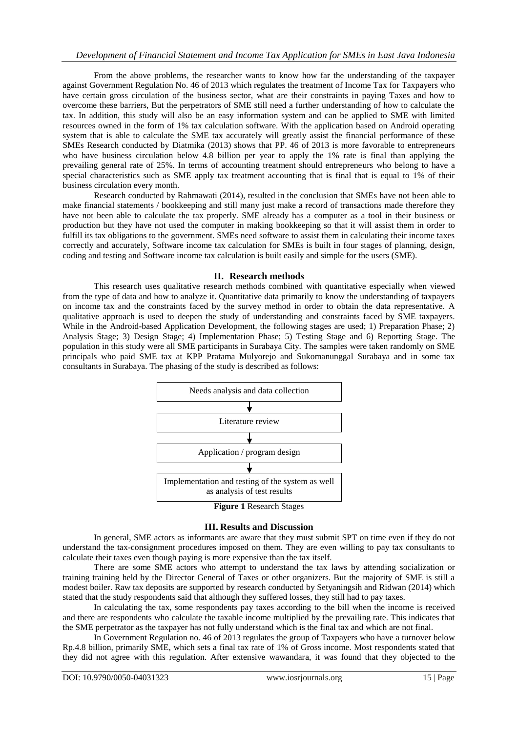From the above problems, the researcher wants to know how far the understanding of the taxpayer against Government Regulation No. 46 of 2013 which regulates the treatment of Income Tax for Taxpayers who have certain gross circulation of the business sector, what are their constraints in paying Taxes and how to overcome these barriers, But the perpetrators of SME still need a further understanding of how to calculate the tax. In addition, this study will also be an easy information system and can be applied to SME with limited resources owned in the form of 1% tax calculation software. With the application based on Android operating system that is able to calculate the SME tax accurately will greatly assist the financial performance of these SMEs Research conducted by Diatmika (2013) shows that PP. 46 of 2013 is more favorable to entrepreneurs who have business circulation below 4.8 billion per year to apply the 1% rate is final than applying the prevailing general rate of 25%. In terms of accounting treatment should entrepreneurs who belong to have a special characteristics such as SME apply tax treatment accounting that is final that is equal to 1% of their business circulation every month.

Research conducted by Rahmawati (2014), resulted in the conclusion that SMEs have not been able to make financial statements / bookkeeping and still many just make a record of transactions made therefore they have not been able to calculate the tax properly. SME already has a computer as a tool in their business or production but they have not used the computer in making bookkeeping so that it will assist them in order to fulfill its tax obligations to the government. SMEs need software to assist them in calculating their income taxes correctly and accurately, Software income tax calculation for SMEs is built in four stages of planning, design, coding and testing and Software income tax calculation is built easily and simple for the users (SME).

# **II. Research methods**

This research uses qualitative research methods combined with quantitative especially when viewed from the type of data and how to analyze it. Quantitative data primarily to know the understanding of taxpayers on income tax and the constraints faced by the survey method in order to obtain the data representative. A qualitative approach is used to deepen the study of understanding and constraints faced by SME taxpayers. While in the Android-based Application Development, the following stages are used; 1) Preparation Phase; 2) Analysis Stage; 3) Design Stage; 4) Implementation Phase; 5) Testing Stage and 6) Reporting Stage. The population in this study were all SME participants in Surabaya City. The samples were taken randomly on SME principals who paid SME tax at KPP Pratama Mulyorejo and Sukomanunggal Surabaya and in some tax consultants in Surabaya. The phasing of the study is described as follows:



# **III. Results and Discussion**

In general, SME actors as informants are aware that they must submit SPT on time even if they do not understand the tax-consignment procedures imposed on them. They are even willing to pay tax consultants to calculate their taxes even though paying is more expensive than the tax itself.

There are some SME actors who attempt to understand the tax laws by attending socialization or training training held by the Director General of Taxes or other organizers. But the majority of SME is still a modest boiler. Raw tax deposits are supported by research conducted by Setyaningsih and Ridwan (2014) which stated that the study respondents said that although they suffered losses, they still had to pay taxes.

In calculating the tax, some respondents pay taxes according to the bill when the income is received and there are respondents who calculate the taxable income multiplied by the prevailing rate. This indicates that the SME perpetrator as the taxpayer has not fully understand which is the final tax and which are not final.

In Government Regulation no. 46 of 2013 regulates the group of Taxpayers who have a turnover below Rp.4.8 billion, primarily SME, which sets a final tax rate of 1% of Gross income. Most respondents stated that they did not agree with this regulation. After extensive wawandara, it was found that they objected to the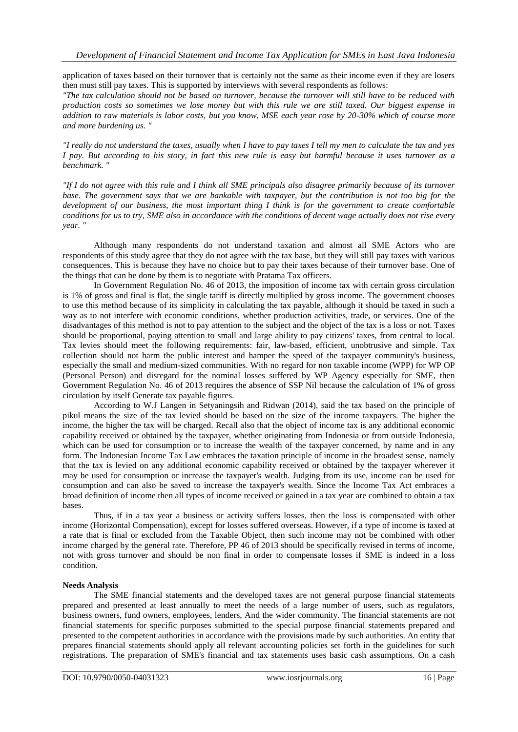application of taxes based on their turnover that is certainly not the same as their income even if they are losers then must still pay taxes. This is supported by interviews with several respondents as follows:

*"The tax calculation should not be based on turnover, because the turnover will still have to be reduced with production costs so sometimes we lose money but with this rule we are still taxed. Our biggest expense in addition to raw materials is labor costs, but you know, MSE each year rose by 20-30% which of course more and more burdening us. "*

*"I really do not understand the taxes, usually when I have to pay taxes I tell my men to calculate the tax and yes I pay. But according to his story, in fact this new rule is easy but harmful because it uses turnover as a benchmark. "*

*"If I do not agree with this rule and I think all SME principals also disagree primarily because of its turnover base. The government says that we are bankable with taxpayer, but the contribution is not too big for the development of our business, the most important thing I think is for the government to create comfortable conditions for us to try, SME also in accordance with the conditions of decent wage actually does not rise every year. "*

Although many respondents do not understand taxation and almost all SME Actors who are respondents of this study agree that they do not agree with the tax base, but they will still pay taxes with various consequences. This is because they have no choice but to pay their taxes because of their turnover base. One of the things that can be done by them is to negotiate with Pratama Tax officers.

In Government Regulation No. 46 of 2013, the imposition of income tax with certain gross circulation is 1% of gross and final is flat, the single tariff is directly multiplied by gross income. The government chooses to use this method because of its simplicity in calculating the tax payable, although it should be taxed in such a way as to not interfere with economic conditions, whether production activities, trade, or services. One of the disadvantages of this method is not to pay attention to the subject and the object of the tax is a loss or not. Taxes should be proportional, paying attention to small and large ability to pay citizens' taxes, from central to local. Tax levies should meet the following requirements: fair, law-based, efficient, unobtrusive and simple. Tax collection should not harm the public interest and hamper the speed of the taxpayer community's business, especially the small and medium-sized communities. With no regard for non taxable income (WPP) for WP OP (Personal Person) and disregard for the nominal losses suffered by WP Agency especially for SME, then Government Regulation No. 46 of 2013 requires the absence of SSP Nil because the calculation of 1% of gross circulation by itself Generate tax payable figures.

According to W.J Langen in Setyaningsih and Ridwan (2014), said the tax based on the principle of pikul means the size of the tax levied should be based on the size of the income taxpayers. The higher the income, the higher the tax will be charged. Recall also that the object of income tax is any additional economic capability received or obtained by the taxpayer, whether originating from Indonesia or from outside Indonesia, which can be used for consumption or to increase the wealth of the taxpayer concerned, by name and in any form. The Indonesian Income Tax Law embraces the taxation principle of income in the broadest sense, namely that the tax is levied on any additional economic capability received or obtained by the taxpayer wherever it may be used for consumption or increase the taxpayer's wealth. Judging from its use, income can be used for consumption and can also be saved to increase the taxpayer's wealth. Since the Income Tax Act embraces a broad definition of income then all types of income received or gained in a tax year are combined to obtain a tax bases.

Thus, if in a tax year a business or activity suffers losses, then the loss is compensated with other income (Horizontal Compensation), except for losses suffered overseas. However, if a type of income is taxed at a rate that is final or excluded from the Taxable Object, then such income may not be combined with other income charged by the general rate. Therefore, PP 46 of 2013 should be specifically revised in terms of income, not with gross turnover and should be non final in order to compensate losses if SME is indeed in a loss condition.

#### **Needs Analysis**

The SME financial statements and the developed taxes are not general purpose financial statements prepared and presented at least annually to meet the needs of a large number of users, such as regulators, business owners, fund owners, employees, lenders, And the wider community. The financial statements are not financial statements for specific purposes submitted to the special purpose financial statements prepared and presented to the competent authorities in accordance with the provisions made by such authorities. An entity that prepares financial statements should apply all relevant accounting policies set forth in the guidelines for such registrations. The preparation of SME's financial and tax statements uses basic cash assumptions. On a cash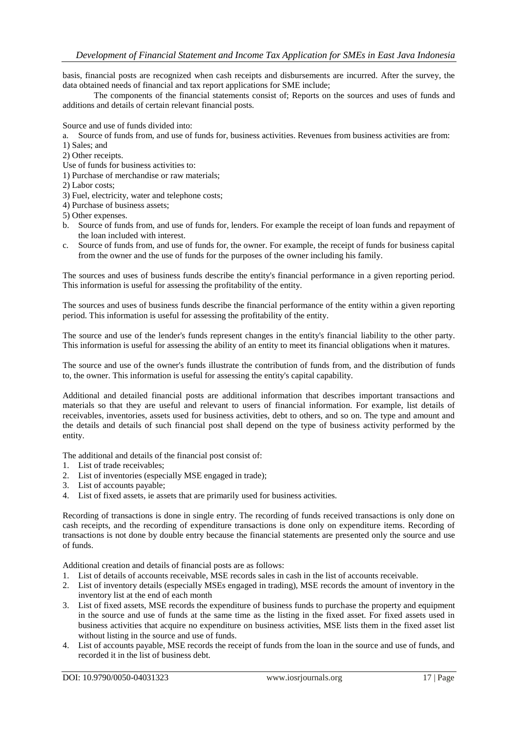basis, financial posts are recognized when cash receipts and disbursements are incurred. After the survey, the data obtained needs of financial and tax report applications for SME include;

The components of the financial statements consist of; Reports on the sources and uses of funds and additions and details of certain relevant financial posts.

Source and use of funds divided into:

a. Source of funds from, and use of funds for, business activities. Revenues from business activities are from:

1) Sales; and

2) Other receipts.

Use of funds for business activities to:

1) Purchase of merchandise or raw materials;

2) Labor costs;

3) Fuel, electricity, water and telephone costs;

4) Purchase of business assets;

5) Other expenses.

- b. Source of funds from, and use of funds for, lenders. For example the receipt of loan funds and repayment of the loan included with interest.
- c. Source of funds from, and use of funds for, the owner. For example, the receipt of funds for business capital from the owner and the use of funds for the purposes of the owner including his family.

The sources and uses of business funds describe the entity's financial performance in a given reporting period. This information is useful for assessing the profitability of the entity.

The sources and uses of business funds describe the financial performance of the entity within a given reporting period. This information is useful for assessing the profitability of the entity.

The source and use of the lender's funds represent changes in the entity's financial liability to the other party. This information is useful for assessing the ability of an entity to meet its financial obligations when it matures.

The source and use of the owner's funds illustrate the contribution of funds from, and the distribution of funds to, the owner. This information is useful for assessing the entity's capital capability.

Additional and detailed financial posts are additional information that describes important transactions and materials so that they are useful and relevant to users of financial information. For example, list details of receivables, inventories, assets used for business activities, debt to others, and so on. The type and amount and the details and details of such financial post shall depend on the type of business activity performed by the entity.

The additional and details of the financial post consist of:

- 1. List of trade receivables;
- 2. List of inventories (especially MSE engaged in trade);
- 3. List of accounts payable;
- 4. List of fixed assets, ie assets that are primarily used for business activities.

Recording of transactions is done in single entry. The recording of funds received transactions is only done on cash receipts, and the recording of expenditure transactions is done only on expenditure items. Recording of transactions is not done by double entry because the financial statements are presented only the source and use of funds.

Additional creation and details of financial posts are as follows:

- 1. List of details of accounts receivable, MSE records sales in cash in the list of accounts receivable.
- 2. List of inventory details (especially MSEs engaged in trading), MSE records the amount of inventory in the inventory list at the end of each month
- 3. List of fixed assets, MSE records the expenditure of business funds to purchase the property and equipment in the source and use of funds at the same time as the listing in the fixed asset. For fixed assets used in business activities that acquire no expenditure on business activities, MSE lists them in the fixed asset list without listing in the source and use of funds.
- 4. List of accounts payable, MSE records the receipt of funds from the loan in the source and use of funds, and recorded it in the list of business debt.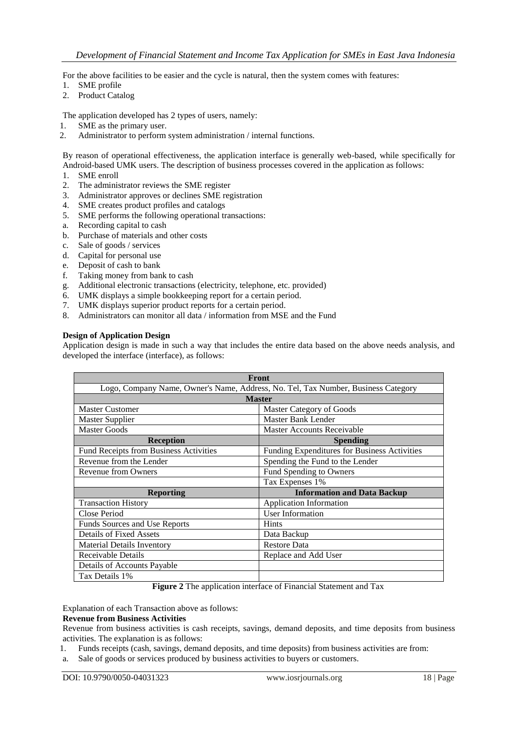For the above facilities to be easier and the cycle is natural, then the system comes with features:

- 1. SME profile
- 2. Product Catalog

The application developed has 2 types of users, namely:

- 1. SME as the primary user.
- 2. Administrator to perform system administration / internal functions.

By reason of operational effectiveness, the application interface is generally web-based, while specifically for Android-based UMK users. The description of business processes covered in the application as follows:

- 1. SME enroll
- 2. The administrator reviews the SME register
- 3. Administrator approves or declines SME registration
- 4. SME creates product profiles and catalogs
- 5. SME performs the following operational transactions:
- a. Recording capital to cash
- b. Purchase of materials and other costs
- c. Sale of goods / services
- d. Capital for personal use
- e. Deposit of cash to bank
- f. Taking money from bank to cash
- g. Additional electronic transactions (electricity, telephone, etc. provided)
- 6. UMK displays a simple bookkeeping report for a certain period.
- 7. UMK displays superior product reports for a certain period.
- 8. Administrators can monitor all data / information from MSE and the Fund

#### **Design of Application Design**

Application design is made in such a way that includes the entire data based on the above needs analysis, and developed the interface (interface), as follows:

| <b>Front</b>                                                                      |                                              |  |  |  |  |
|-----------------------------------------------------------------------------------|----------------------------------------------|--|--|--|--|
| Logo, Company Name, Owner's Name, Address, No. Tel, Tax Number, Business Category |                                              |  |  |  |  |
| <b>Master</b>                                                                     |                                              |  |  |  |  |
| <b>Master Customer</b>                                                            | Master Category of Goods                     |  |  |  |  |
| <b>Master Supplier</b>                                                            | Master Bank Lender                           |  |  |  |  |
| <b>Master Goods</b>                                                               | <b>Master Accounts Receivable</b>            |  |  |  |  |
| <b>Reception</b>                                                                  | <b>Spending</b>                              |  |  |  |  |
| Fund Receipts from Business Activities                                            | Funding Expenditures for Business Activities |  |  |  |  |
| Revenue from the Lender                                                           | Spending the Fund to the Lender              |  |  |  |  |
| <b>Revenue from Owners</b>                                                        | Fund Spending to Owners                      |  |  |  |  |
|                                                                                   | Tax Expenses 1%                              |  |  |  |  |
| <b>Reporting</b>                                                                  | <b>Information and Data Backup</b>           |  |  |  |  |
| <b>Transaction History</b>                                                        | Application Information                      |  |  |  |  |
| Close Period                                                                      | <b>User Information</b>                      |  |  |  |  |
| Funds Sources and Use Reports                                                     | <b>Hints</b>                                 |  |  |  |  |
| <b>Details of Fixed Assets</b>                                                    | Data Backup                                  |  |  |  |  |
| <b>Material Details Inventory</b>                                                 | <b>Restore Data</b>                          |  |  |  |  |
| Receivable Details                                                                | Replace and Add User                         |  |  |  |  |
| Details of Accounts Payable                                                       |                                              |  |  |  |  |
| Tax Details 1%                                                                    |                                              |  |  |  |  |

**Figure 2** The application interface of Financial Statement and Tax

Explanation of each Transaction above as follows:

### **Revenue from Business Activities**

Revenue from business activities is cash receipts, savings, demand deposits, and time deposits from business activities. The explanation is as follows:

1. Funds receipts (cash, savings, demand deposits, and time deposits) from business activities are from:

a. Sale of goods or services produced by business activities to buyers or customers.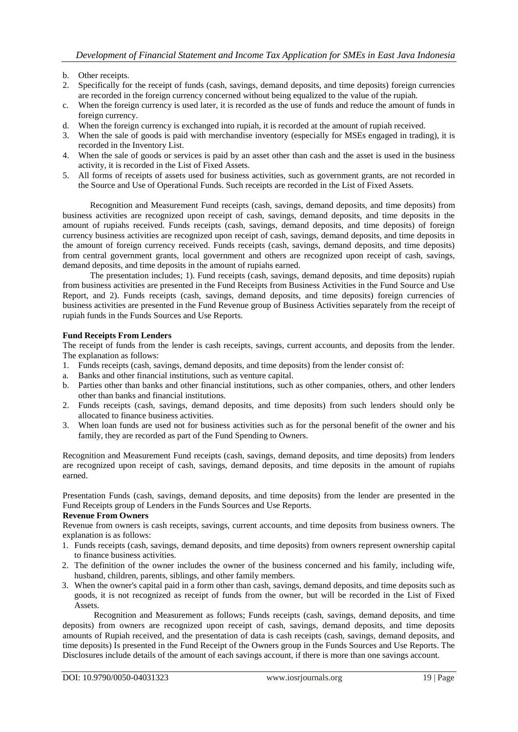### b. Other receipts.

- 2. Specifically for the receipt of funds (cash, savings, demand deposits, and time deposits) foreign currencies are recorded in the foreign currency concerned without being equalized to the value of the rupiah.
- c. When the foreign currency is used later, it is recorded as the use of funds and reduce the amount of funds in foreign currency.
- d. When the foreign currency is exchanged into rupiah, it is recorded at the amount of rupiah received.
- 3. When the sale of goods is paid with merchandise inventory (especially for MSEs engaged in trading), it is recorded in the Inventory List.
- 4. When the sale of goods or services is paid by an asset other than cash and the asset is used in the business activity, it is recorded in the List of Fixed Assets.
- 5. All forms of receipts of assets used for business activities, such as government grants, are not recorded in the Source and Use of Operational Funds. Such receipts are recorded in the List of Fixed Assets.

Recognition and Measurement Fund receipts (cash, savings, demand deposits, and time deposits) from business activities are recognized upon receipt of cash, savings, demand deposits, and time deposits in the amount of rupiahs received. Funds receipts (cash, savings, demand deposits, and time deposits) of foreign currency business activities are recognized upon receipt of cash, savings, demand deposits, and time deposits in the amount of foreign currency received. Funds receipts (cash, savings, demand deposits, and time deposits) from central government grants, local government and others are recognized upon receipt of cash, savings, demand deposits, and time deposits in the amount of rupiahs earned.

The presentation includes; 1). Fund receipts (cash, savings, demand deposits, and time deposits) rupiah from business activities are presented in the Fund Receipts from Business Activities in the Fund Source and Use Report, and 2). Funds receipts (cash, savings, demand deposits, and time deposits) foreign currencies of business activities are presented in the Fund Revenue group of Business Activities separately from the receipt of rupiah funds in the Funds Sources and Use Reports.

### **Fund Receipts From Lenders**

The receipt of funds from the lender is cash receipts, savings, current accounts, and deposits from the lender. The explanation as follows:

- 1. Funds receipts (cash, savings, demand deposits, and time deposits) from the lender consist of:
- a. Banks and other financial institutions, such as venture capital.
- b. Parties other than banks and other financial institutions, such as other companies, others, and other lenders other than banks and financial institutions.
- 2. Funds receipts (cash, savings, demand deposits, and time deposits) from such lenders should only be allocated to finance business activities.
- 3. When loan funds are used not for business activities such as for the personal benefit of the owner and his family, they are recorded as part of the Fund Spending to Owners.

Recognition and Measurement Fund receipts (cash, savings, demand deposits, and time deposits) from lenders are recognized upon receipt of cash, savings, demand deposits, and time deposits in the amount of rupiahs earned.

Presentation Funds (cash, savings, demand deposits, and time deposits) from the lender are presented in the Fund Receipts group of Lenders in the Funds Sources and Use Reports.

# **Revenue From Owners**

Revenue from owners is cash receipts, savings, current accounts, and time deposits from business owners. The explanation is as follows:

- 1. Funds receipts (cash, savings, demand deposits, and time deposits) from owners represent ownership capital to finance business activities.
- 2. The definition of the owner includes the owner of the business concerned and his family, including wife, husband, children, parents, siblings, and other family members.
- 3. When the owner's capital paid in a form other than cash, savings, demand deposits, and time deposits such as goods, it is not recognized as receipt of funds from the owner, but will be recorded in the List of Fixed Assets.

Recognition and Measurement as follows; Funds receipts (cash, savings, demand deposits, and time deposits) from owners are recognized upon receipt of cash, savings, demand deposits, and time deposits amounts of Rupiah received, and the presentation of data is cash receipts (cash, savings, demand deposits, and time deposits) Is presented in the Fund Receipt of the Owners group in the Funds Sources and Use Reports. The Disclosures include details of the amount of each savings account, if there is more than one savings account.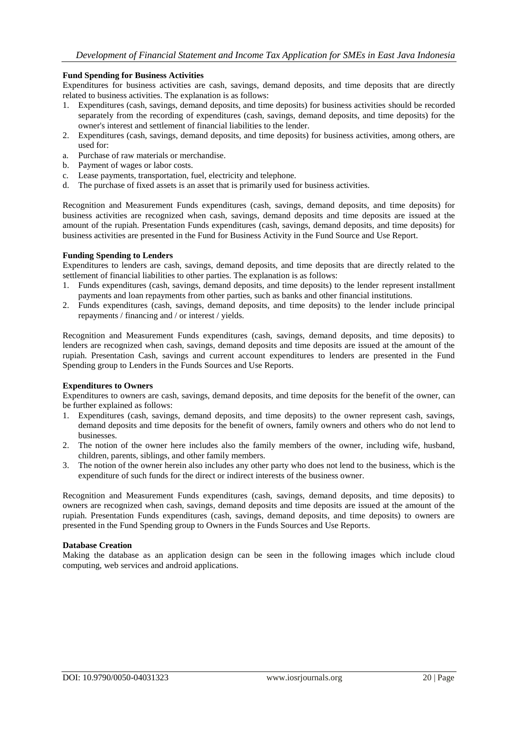#### **Fund Spending for Business Activities**

Expenditures for business activities are cash, savings, demand deposits, and time deposits that are directly related to business activities. The explanation is as follows:

- 1. Expenditures (cash, savings, demand deposits, and time deposits) for business activities should be recorded separately from the recording of expenditures (cash, savings, demand deposits, and time deposits) for the owner's interest and settlement of financial liabilities to the lender.
- 2. Expenditures (cash, savings, demand deposits, and time deposits) for business activities, among others, are used for:
- a. Purchase of raw materials or merchandise.
- b. Payment of wages or labor costs.
- c. Lease payments, transportation, fuel, electricity and telephone.
- d. The purchase of fixed assets is an asset that is primarily used for business activities.

Recognition and Measurement Funds expenditures (cash, savings, demand deposits, and time deposits) for business activities are recognized when cash, savings, demand deposits and time deposits are issued at the amount of the rupiah. Presentation Funds expenditures (cash, savings, demand deposits, and time deposits) for business activities are presented in the Fund for Business Activity in the Fund Source and Use Report.

### **Funding Spending to Lenders**

Expenditures to lenders are cash, savings, demand deposits, and time deposits that are directly related to the settlement of financial liabilities to other parties. The explanation is as follows:

- 1. Funds expenditures (cash, savings, demand deposits, and time deposits) to the lender represent installment payments and loan repayments from other parties, such as banks and other financial institutions.
- 2. Funds expenditures (cash, savings, demand deposits, and time deposits) to the lender include principal repayments / financing and / or interest / yields.

Recognition and Measurement Funds expenditures (cash, savings, demand deposits, and time deposits) to lenders are recognized when cash, savings, demand deposits and time deposits are issued at the amount of the rupiah. Presentation Cash, savings and current account expenditures to lenders are presented in the Fund Spending group to Lenders in the Funds Sources and Use Reports.

#### **Expenditures to Owners**

Expenditures to owners are cash, savings, demand deposits, and time deposits for the benefit of the owner, can be further explained as follows:

- 1. Expenditures (cash, savings, demand deposits, and time deposits) to the owner represent cash, savings, demand deposits and time deposits for the benefit of owners, family owners and others who do not lend to businesses.
- 2. The notion of the owner here includes also the family members of the owner, including wife, husband, children, parents, siblings, and other family members.
- 3. The notion of the owner herein also includes any other party who does not lend to the business, which is the expenditure of such funds for the direct or indirect interests of the business owner.

Recognition and Measurement Funds expenditures (cash, savings, demand deposits, and time deposits) to owners are recognized when cash, savings, demand deposits and time deposits are issued at the amount of the rupiah. Presentation Funds expenditures (cash, savings, demand deposits, and time deposits) to owners are presented in the Fund Spending group to Owners in the Funds Sources and Use Reports.

#### **Database Creation**

Making the database as an application design can be seen in the following images which include cloud computing, web services and android applications.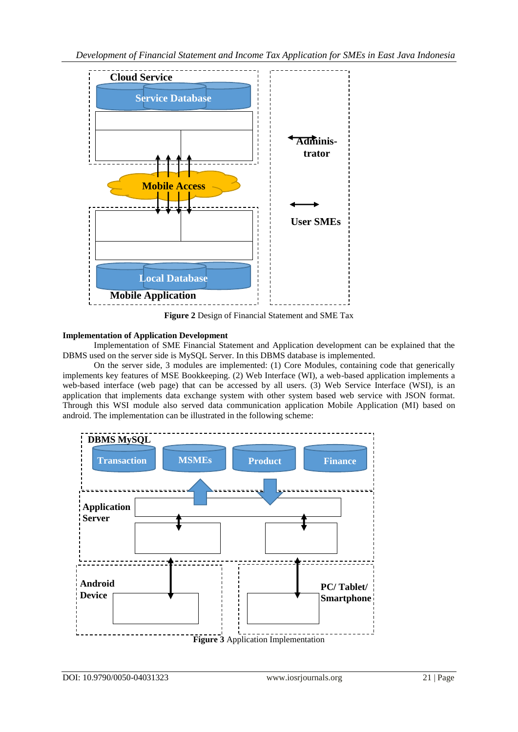

**Figure 2** Design of Financial Statement and SME Tax

# **Implementation of Application Development**

Implementation of SME Financial Statement and Application development can be explained that the DBMS used on the server side is MySQL Server. In this DBMS database is implemented.

On the server side, 3 modules are implemented: (1) Core Modules, containing code that generically implements key features of MSE Bookkeeping. (2) Web Interface (WI), a web-based application implements a web-based interface (web page) that can be accessed by all users. (3) Web Service Interface (WSI), is an application that implements data exchange system with other system based web service with JSON format. Through this WSI module also served data communication application Mobile Application (MI) based on android. The implementation can be illustrated in the following scheme:

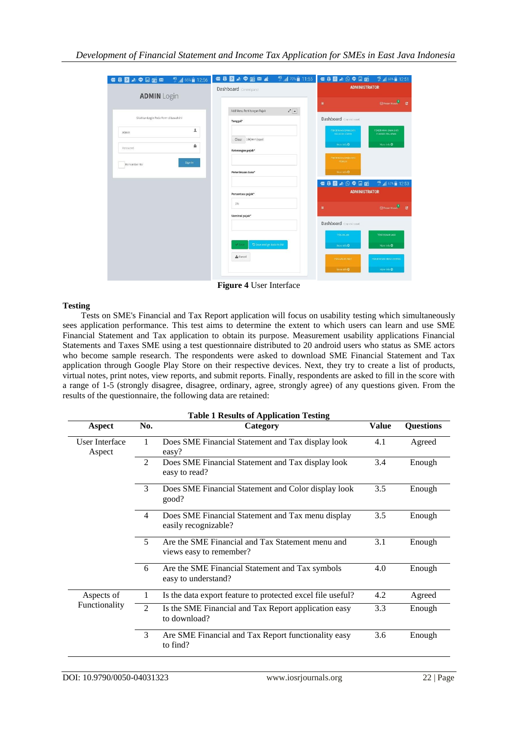| ● 8 ■ ★ ● 国话图 ● 44 14 66% ■ 12:56    | <b>OUDAQEZA</b><br>$^{46}$ $\blacksquare$ 70% 11:55 | ■ 8 ■ ★ 9 ● 国函 # # 18% ■ 12:51                                                            |  |
|--------------------------------------|-----------------------------------------------------|-------------------------------------------------------------------------------------------|--|
|                                      | Dashboard Control panel                             | <b>ADMINISTRATOR</b>                                                                      |  |
| <b>ADMIN</b> Login                   |                                                     | $\mathbb{R}$ Pesan Masuk $\mathbb{C}$<br>$\equiv$                                         |  |
| Silahkan Login Pada Form dibawah ini | $\epsilon$ .<br>Add Menu Perhitungan Pajak          | Dashboard Considered                                                                      |  |
|                                      | Tanggal*                                            |                                                                                           |  |
| 主<br>Admin.                          |                                                     | PENERIMAAN DANA CARL<br>PENERINAAN OANA DARI<br><b>KEGUITAN USAHA</b><br>PENBERIPHY, AMAN |  |
| å                                    | Clear (dd/mm/yyyy)                                  | Hote info O<br>More info O                                                                |  |
| Password                             | Keterangan pajak*                                   |                                                                                           |  |
| Sign In<br>Remember Me               |                                                     | PENERIMAAN DANA DARI<br>PENILIK                                                           |  |
|                                      | Penerimaan dana*                                    | Hore in lo O                                                                              |  |
|                                      |                                                     | <b>O 8 2 A 9 9 E</b><br>$46$ $12.53$                                                      |  |
|                                      | Persentase pajak*                                   | <b>ADMINISTRATOR</b>                                                                      |  |
|                                      | 1%                                                  | E Pesan Masuk<br>Ξ                                                                        |  |
|                                      | Nominal pajak*                                      |                                                                                           |  |
|                                      |                                                     | Dashboard Considered                                                                      |  |
|                                      |                                                     | PENJUALAN<br>PENERIMAAN LAIN                                                              |  |
|                                      | Save and go back to list<br>Save                    | Hore info O<br>More info O                                                                |  |
|                                      | A Cancel                                            | <b>PERJUALAN ASE</b><br>PER EKINAKN HISAH BARARG.                                         |  |
|                                      |                                                     | More info O<br>Home info <sup>O</sup>                                                     |  |
|                                      |                                                     |                                                                                           |  |

**Figure 4** User Interface

# **Testing**

Tests on SME's Financial and Tax Report application will focus on usability testing which simultaneously sees application performance. This test aims to determine the extent to which users can learn and use SME Financial Statement and Tax application to obtain its purpose. Measurement usability applications Financial Statements and Taxes SME using a test questionnaire distributed to 20 android users who status as SME actors who become sample research. The respondents were asked to download SME Financial Statement and Tax application through Google Play Store on their respective devices. Next, they try to create a list of products, virtual notes, print notes, view reports, and submit reports. Finally, respondents are asked to fill in the score with a range of 1-5 (strongly disagree, disagree, ordinary, agree, strongly agree) of any questions given. From the results of the questionnaire, the following data are retained:

| <b>Table 1 Results of Application Testing</b> |                          |                                                                             |              |                  |  |  |
|-----------------------------------------------|--------------------------|-----------------------------------------------------------------------------|--------------|------------------|--|--|
| Aspect                                        | No.                      | Category                                                                    | <b>Value</b> | <b>Questions</b> |  |  |
| User Interface<br>Aspect                      | 1                        | Does SME Financial Statement and Tax display look<br>easy?                  | 4.1          | Agreed           |  |  |
|                                               | $\mathfrak{D}$           | Does SME Financial Statement and Tax display look<br>easy to read?          | 3.4          | Enough           |  |  |
|                                               | $\mathcal{E}$            | Does SME Financial Statement and Color display look<br>good?                | 3.5          | Enough           |  |  |
|                                               | $\overline{4}$           | Does SME Financial Statement and Tax menu display<br>easily recognizable?   | 3.5          | Enough           |  |  |
|                                               | $\overline{\mathcal{L}}$ | Are the SME Financial and Tax Statement menu and<br>views easy to remember? | 3.1          | Enough           |  |  |
|                                               | 6                        | Are the SME Financial Statement and Tax symbols<br>easy to understand?      | 4.0          | Enough           |  |  |
| Aspects of<br>Functionality                   | 1                        | Is the data export feature to protected excel file useful?                  | 4.2          | Agreed           |  |  |
|                                               | 2                        | Is the SME Financial and Tax Report application easy<br>to download?        | 3.3          | Enough           |  |  |
|                                               | 3                        | Are SME Financial and Tax Report functionality easy<br>to find?             | 3.6          | Enough           |  |  |